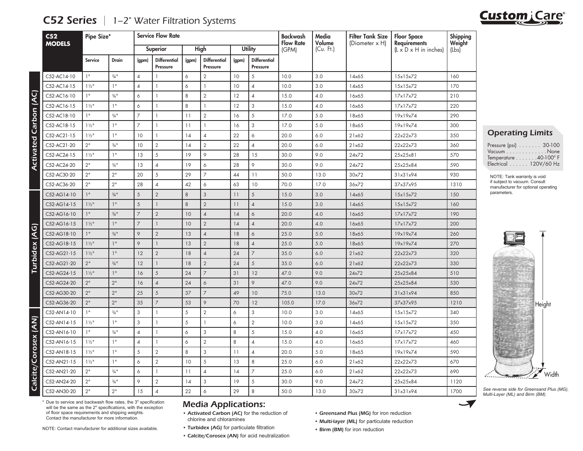| C <sub>52</sub><br><b>MODELS</b> |                  | Pipe Size*          |                | <b>Service Flow Rate</b>        |       |                                 |                 |                                 |                           | Media<br>Volume | <b>Filter Tank Size</b><br>(Diameter x H) | <b>Floor Space</b><br><b>Requirements</b> | Shipping<br>Weight |
|----------------------------------|------------------|---------------------|----------------|---------------------------------|-------|---------------------------------|-----------------|---------------------------------|---------------------------|-----------------|-------------------------------------------|-------------------------------------------|--------------------|
|                                  |                  |                     |                | Superior                        |       | High                            | <b>Utility</b>  |                                 | <b>Flow Rate</b><br>(GPM) | (Cu. Ft.)       |                                           | $(L \times D \times H$ in inches)         | (Lbs)              |
|                                  | Service          | Drain               | (gpm)          | <b>Differential</b><br>Pressure | (gpm) | <b>Differential</b><br>Pressure | (gpm)           | <b>Differential</b><br>Pressure |                           |                 |                                           |                                           |                    |
| C52-AC14-10                      | 1"               | $3/4$ <sup>11</sup> | $\overline{4}$ |                                 | 6     | $\overline{2}$                  | 10 <sup>°</sup> | 5                               | 10.0                      | 3.0             | 14x65                                     | 15x15x72                                  | 160                |
| C52-AC14-15                      | $1\frac{1}{2}$   | 1"                  | $\overline{4}$ | $\mathbf{1}$                    | 6     | $\mathbf{1}$                    | 10              | $\overline{4}$                  | 10.0                      | 3.0             | 14x65                                     | 15x15x72                                  | 170                |
| C52-AC16-10                      | 1"               | $3/4$ <sup>11</sup> | 6              |                                 | 8     | $\overline{2}$                  | 12              | $\overline{4}$                  | 15.0                      | 4.0             | 16x65                                     | 17x17x72                                  | 210                |
| C52-AC16-15                      | $1\frac{1}{2}$   | 1"                  | 6              | -1                              | 8     | $\mathbf{1}$                    | 12              | 3                               | 15.0                      | 4.0             | 16x65                                     | 17x17x72                                  | 220                |
| C52-AC18-10                      | 1"               | $3/4$ <sup>11</sup> | 7              | 1                               | 11    | $\overline{2}$                  | 16              | 5                               | 17.0                      | 5.0             | 18x65                                     | 19x19x74                                  | 290                |
| C52-AC18-15                      | $1\frac{1}{2}$   | 1"                  | 7              | $\mathbf{1}$                    | 11    | 1                               | 16              | 3                               | 17.0                      | 5.0             | 18x65                                     | 19x19x74                                  | 300                |
| C52-AC21-15                      | $1\frac{1}{2}$ " | 1"                  | 10             | 1                               | 14    | $\overline{4}$                  | 22              | 6                               | 20.0                      | 6.0             | 21x62                                     | 22x22x73                                  | 350                |
| C52-AC21-20                      | 2"               | $\frac{3}{4}$ "     | 10             | $\overline{2}$                  | 14    | $\overline{2}$                  | 22              | $\overline{4}$                  | 20.0                      | 6.0             | 21x62                                     | 22x22x73                                  | 360                |
| C52-AC24-15                      | $1\frac{1}{2}$   | 1"                  | 13             | 5                               | 19    | 9                               | 28              | 15                              | 30.0                      | 9.0             | 24x72                                     | 25x25x81                                  | 570                |
| C52-AC24-20                      | 2"               | $3/4$ <sup>11</sup> | 13             | $\overline{4}$                  | 19    | 6                               | 28              | 9                               | 30.0                      | 9.0             | 24x72                                     | 25x25x84                                  | 590                |
| C52-AC30-20                      | 2"               | 2"                  | 20             | 5                               | 29    | $\overline{7}$                  | 44              | 11                              | 50.0                      | 13.0            | 30x72                                     | 31x31x94                                  | 930                |
| C52-AC36-20                      | 2"               | 2"                  | 28             | $\overline{4}$                  | 42    | 6                               | 63              | 10                              | 70.0                      | 17.0            | 36x72                                     | 37x37x95                                  | 1310               |
| C52-AG14-10                      | 1"               | $\frac{3}{4}$ "     | 5              | $\overline{2}$                  | 8     | 3                               | 11              | 5                               | 15.0                      | 3.0             | 14x65                                     | 15x15x72                                  | 150                |
| C52-AG14-15                      | $1\frac{1}{2}$   | 1"                  | 5              | $\mathbf{1}$                    | 8     | $\overline{2}$                  | 11              | $\overline{4}$                  | 15.0                      | 3.0             | 14x65                                     | 15x15x72                                  | 160                |
| C52-AG16-10                      | 1"               | $\frac{3}{4}$ "     | 7              | $\overline{2}$                  | 10    | $\sqrt{4}$                      | 14              | 6                               | 20.0                      | 4.0             | 16x65                                     | 17x17x72                                  | 190                |
| C52-AG16-15                      | $1\frac{1}{2}$   | 1"                  | 7              | $\mathbf{1}$                    | 10    | $\overline{2}$                  | 14              | $\overline{4}$                  | 20.0                      | 4.0             | 16x65                                     | 17x17x72                                  | 200                |
| C52-AG18-10                      | 1"               | $\frac{3}{4}$ "     | 9              | $\overline{2}$                  | 13    | $\sqrt{4}$                      | 18              | 6                               | 25.0                      | 5.0             | 18x65                                     | 19x19x74                                  | 260                |
| C52-AG18-15                      | $1\frac{1}{2}$   | 1"                  | 9              | $\mathbf{1}$                    | 13    | $\overline{2}$                  | 18              | $\overline{4}$                  | 25.0                      | 5.0             | 18x65                                     | 19x19x74                                  | 270                |
| C52-AG21-15                      | $1\frac{1}{2}$   | 1"                  | 12             | $\overline{2}$                  | 18    | $\overline{4}$                  | 24              | $\overline{7}$                  | 35.0                      | 6.0             | 21x62                                     | 22x22x73                                  | 320                |
| C52-AG21-20                      | 2"               | $\frac{3}{4}$ "     | 12             | $\mathbf{1}$                    | 18    | $\overline{2}$                  | 24              | 5                               | 35.0                      | 6.0             | 21x62                                     | 22x22x73                                  | 330                |
| C52-AG24-15                      | $1\frac{1}{2}$   | 1"                  | 16             | 5                               | 24    | $\overline{7}$                  | 31              | 12                              | 47.0                      | 9.0             | 24x72                                     | 25x25x84                                  | 510                |
| C52-AG24-20                      | 2"               | 2"                  | 16             | $\overline{4}$                  | 24    | 6                               | 31              | $\circ$                         | 47.0                      | 9.0             | 24x72                                     | 25x25x84                                  | 530                |
| C52-AG30-20                      | 2"               | 2"                  | 25             | 5                               | 37    | $\overline{7}$                  | 49              | 10 <sup>°</sup>                 | 75.0                      | 13.0            | 30x72                                     | 31x31x94                                  | 850                |
| C52-AG36-20                      | 2"               | 2"                  | 35             | $\overline{7}$                  | 53    | 9                               | 70              | 12                              | 105.0                     | 17.0            | 36x72                                     | 37x37x95                                  | 1210               |
| C52-AN14-10                      | 1"               | $3/4$ <sup>11</sup> | 3              | $\mathbf{1}$                    | 5     | $\overline{2}$                  | 6               | 3                               | 10.0                      | 3.0             | 14x65                                     | 15x15x72                                  | 340                |
| C52-AN14-15                      | $1\frac{1}{2}$   | 1"                  | 3              | -1                              | 5     | 1                               | 6               | $\overline{2}$                  | 10.0                      | 3.0             | 14x65                                     | 15x15x72                                  | 350                |
| C52-AN16-10                      | 1"               | $\frac{3}{4}$ "     | $\overline{4}$ | -1                              | 6     | 3                               | 8               | 5                               | 15.0                      | 4.0             | 16x65                                     | 17x17x72                                  | 450                |
| C52-AN16-15                      | $1\frac{1}{2}$   | 1"                  | $\overline{4}$ | $\mathbf{1}$                    | 6     | $\overline{2}$                  | 8               | $\overline{4}$                  | 15.0                      | 4.0             | 16x65                                     | 17x17x72                                  | 460                |
| C52-AN18-15                      | $1\frac{1}{2}$   | 1"                  | 5              | 2                               | 8     | 3                               | 11              | $\overline{4}$                  | 20.0                      | 5.0             | 18x65                                     | 19x19x74                                  | 590                |
| C52-AN21-15                      | $1\frac{1}{2}$   | 1"                  | 6              | $\overline{2}$                  | 10    | 5                               | 13              | 8                               | 25.0                      | 6.0             | 21x62                                     | 22x22x73                                  | 670                |
| C52-AN21-20                      | 2"               | $\frac{3}{4}$ "     | 6              | $\mathbf{1}$                    | 11    | $\overline{4}$                  | 14              | $\overline{7}$                  | 25.0                      | 6.0             | 21x62                                     | 22x22x73                                  | 690                |
| C52-AN24-20                      | 2"               | $\frac{3}{4}$ "     | 9              | $\sqrt{2}$                      | 14    | 3                               | 19              | $\sqrt{5}$                      | 30.0                      | 9.0             | 24x72                                     | 25x25x84                                  | 1120               |
| C52-AN30-20                      | 2"               | 2"                  | 15             | $\overline{4}$                  | 22    | 6                               | 29              | 8                               | 50.0                      | 13.0            | 30x72                                     | 31x31x94                                  | 1700               |

## **C52 Series**  $\vert$  1–2" Water Filtration Systems

Operating Limits

| Pressure (psi) $\ldots \ldots$ 30-100 |  |
|---------------------------------------|--|
| Vacuum None                           |  |
| Temperature 40-100° F                 |  |
| Electrical 120V/60 Hz                 |  |

NOTE: Tank warranty is void if subject to vacuum. Consult manufacturer for optional operating parameters.



*See reverse side for Greensand Plus (MG), Multi-Layer (ML) and Birm (BM).*

 $\blacktriangledown$ 

\* Due to service and backwash flow rates, the 3" specification will be the same as the 2" specifications, with the exception of floor space requirements and shipping weights. Contact the manufacturer for more information.

NOTE: Contact manufacturer for additional sizes available.

## Media Applications:

- Activated Carbon (AC) for the reduction of chlorine and chloramines
- Turbidex (AG) for particulate filtration
- Calcite/Corosex (AN) for acid neutralization
- Greensand Plus (MG) for iron reduction
- Multi-layer (ML) for particulate reduction
- Birm (BM) for iron reduction